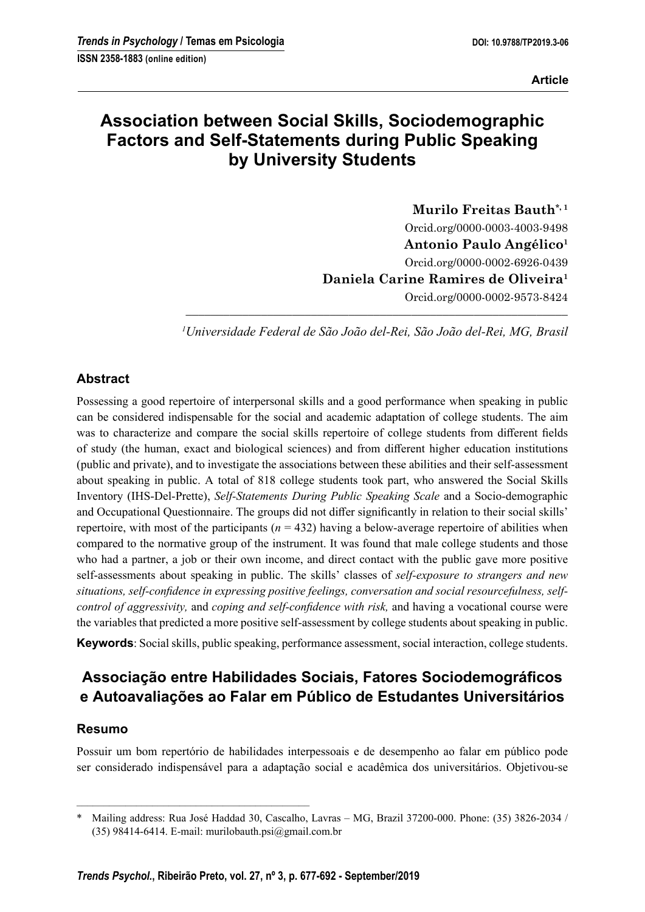# **Association between Social Skills, Sociodemographic Factors and Self-Statements during Public Speaking by University Students**

**Murilo Freitas Bauth\*, 1** Orcid.org/0000-0003-4003-9498 **Antonio Paulo Angélico1** Orcid.org/0000-0002-6926-0439 **Daniela Carine Ramires de Oliveira1** Orcid.org/0000-0002-9573-8424

––––––––––––––––––––––––––––––––––––––––––––––––––––––––––––– *1 Universidade Federal de São João del-Rei, São João del-Rei, MG, Brasil*

# **Abstract**

Possessing a good repertoire of interpersonal skills and a good performance when speaking in public can be considered indispensable for the social and academic adaptation of college students. The aim was to characterize and compare the social skills repertoire of college students from different fields of study (the human, exact and biological sciences) and from different higher education institutions (public and private), and to investigate the associations between these abilities and their self-assessment about speaking in public. A total of 818 college students took part, who answered the Social Skills Inventory (IHS-Del-Prette), *Self-Statements During Public Speaking Scale* and a Socio-demographic and Occupational Questionnaire. The groups did not differ significantly in relation to their social skills' repertoire, with most of the participants ( $n = 432$ ) having a below-average repertoire of abilities when compared to the normative group of the instrument. It was found that male college students and those who had a partner, a job or their own income, and direct contact with the public gave more positive self-assessments about speaking in public. The skills' classes of *self-exposure to strangers and new*  situations, self-confidence in expressing positive feelings, conversation and social resourcefulness, self*control of aggressivity, and coping and self-confidence with risk, and having a vocational course were* the variables that predicted a more positive self-assessment by college students about speaking in public.

**Keywords**: Social skills, public speaking, performance assessment, social interaction, college students.

# Associação entre Habilidades Sociais, Fatores Sociodemográficos **e Autoavaliações ao Falar em Público de Estudantes Universitários**

# **Resumo**

Possuir um bom repertório de habilidades interpessoais e de desempenho ao falar em público pode ser considerado indispensável para a adaptação social e acadêmica dos universitários. Objetivou-se

–––––––––––––––––––––––––––––––––––––––––––

<sup>\*</sup> Mailing address: Rua José Haddad 30, Cascalho, Lavras – MG, Brazil 37200-000. Phone: (35) 3826-2034 / (35) 98414-6414. E-mail: murilobauth.psi@gmail.com.br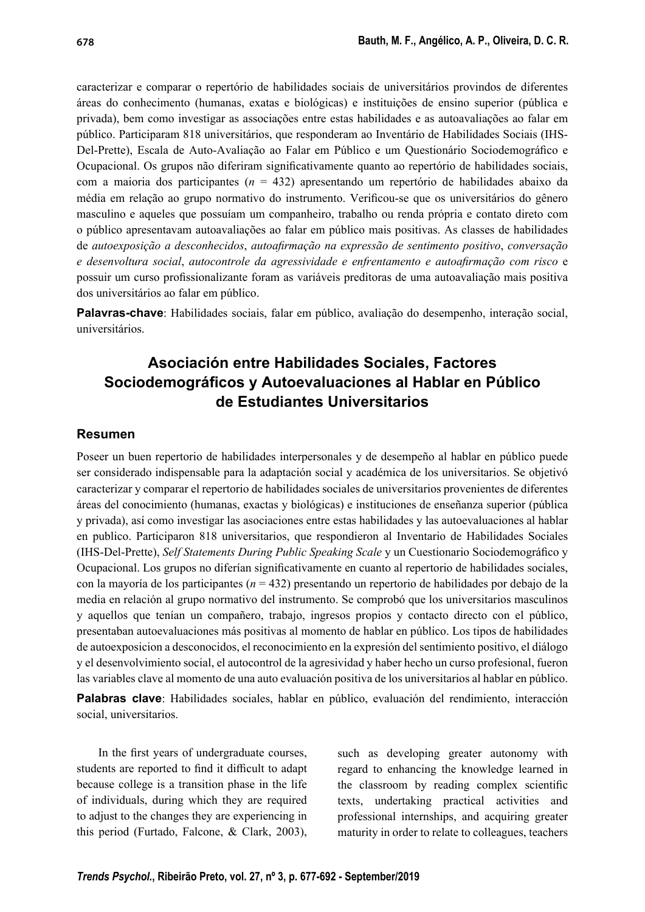caracterizar e comparar o repertório de habilidades sociais de universitários provindos de diferentes áreas do conhecimento (humanas, exatas e biológicas) e instituições de ensino superior (pública e privada), bem como investigar as associações entre estas habilidades e as autoavaliações ao falar em público. Participaram 818 universitários, que responderam ao Inventário de Habilidades Sociais (IHS-Del-Prette), Escala de Auto-Avaliação ao Falar em Público e um Questionário Sociodemográfico e Ocupacional. Os grupos não diferiram significativamente quanto ao repertório de habilidades sociais, com a maioria dos participantes (*n* = 432) apresentando um repertório de habilidades abaixo da média em relação ao grupo normativo do instrumento. Verificou-se que os universitários do gênero masculino e aqueles que possuíam um companheiro, trabalho ou renda própria e contato direto com o público apresentavam autoavaliações ao falar em público mais positivas. As classes de habilidades de *autoexposição a desconhecidos*, *autoafi rmação na expressão de sentimento positivo*, *conversação e desenvoltura social*, *autocontrole da agressividade e enfrentamento e autoafi rmação com risco* e possuir um curso profi ssionalizante foram as variáveis preditoras de uma autoavaliação mais positiva dos universitários ao falar em público.

**Palavras-chave**: Habilidades sociais, falar em público, avaliação do desempenho, interação social, universitários.

# **Asociación entre Habilidades Sociales, Factores Sociodemográfi cos y Autoevaluaciones al Hablar en Público de Estudiantes Universitarios**

#### **Resumen**

Poseer un buen repertorio de habilidades interpersonales y de desempeño al hablar en público puede ser considerado indispensable para la adaptación social y académica de los universitarios. Se objetivó caracterizar y comparar el repertorio de habilidades sociales de universitarios provenientes de diferentes áreas del conocimiento (humanas, exactas y biológicas) e instituciones de enseñanza superior (pública y privada), así como investigar las asociaciones entre estas habilidades y las autoevaluaciones al hablar en publico. Participaron 818 universitarios, que respondieron al Inventario de Habilidades Sociales (IHS-Del-Prette), *Self Statements During Public Speaking Scale* y un Cuestionario Sociodemográfico y Ocupacional. Los grupos no diferían significativamente en cuanto al repertorio de habilidades sociales, con la mayoría de los participantes (*n* = 432) presentando un repertorio de habilidades por debajo de la media en relación al grupo normativo del instrumento. Se comprobó que los universitarios masculinos y aquellos que tenían un compañero, trabajo, ingresos propios y contacto directo con el público, presentaban autoevaluaciones más positivas al momento de hablar en público. Los tipos de habilidades de autoexposicion a desconocidos, el reconocimiento en la expresión del sentimiento positivo, el diálogo y el desenvolvimiento social, el autocontrol de la agresividad y haber hecho un curso profesional, fueron las variables clave al momento de una auto evaluación positiva de los universitarios al hablar en público.

**Palabras clave**: Habilidades sociales, hablar en público, evaluación del rendimiento, interacción social, universitarios.

In the first years of undergraduate courses, students are reported to find it difficult to adapt because college is a transition phase in the life of individuals, during which they are required to adjust to the changes they are experiencing in this period (Furtado, Falcone, & Clark, 2003), such as developing greater autonomy with regard to enhancing the knowledge learned in the classroom by reading complex scientific texts, undertaking practical activities and professional internships, and acquiring greater maturity in order to relate to colleagues, teachers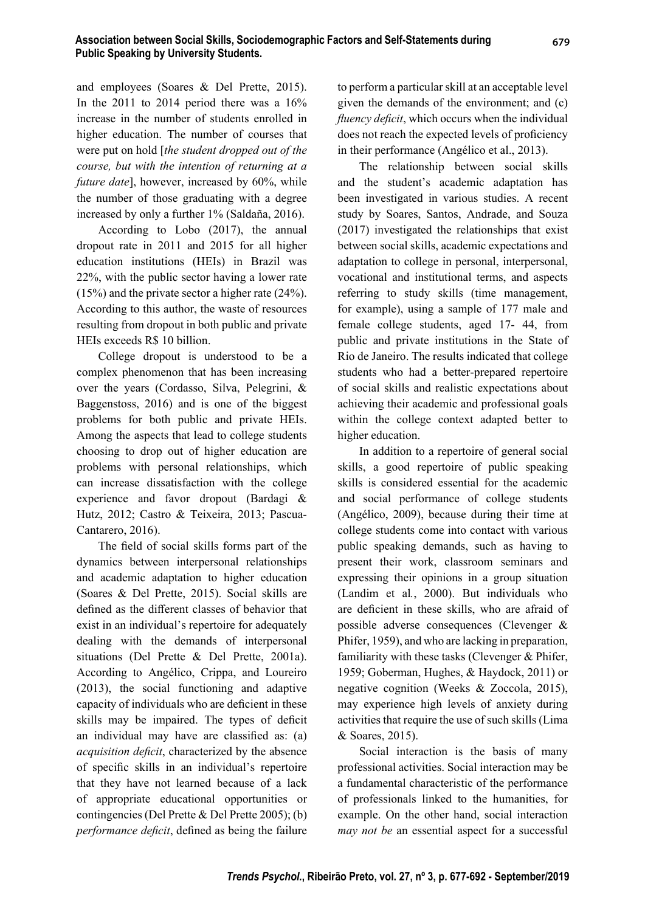and employees (Soares & Del Prette, 2015). In the 2011 to 2014 period there was a 16% increase in the number of students enrolled in higher education. The number of courses that were put on hold [*the student dropped out of the course, but with the intention of returning at a future date*], however, increased by 60%, while the number of those graduating with a degree increased by only a further 1% (Saldaña, 2016).

According to Lobo (2017), the annual dropout rate in 2011 and 2015 for all higher education institutions (HEIs) in Brazil was 22%, with the public sector having a lower rate (15%) and the private sector a higher rate (24%). According to this author, the waste of resources resulting from dropout in both public and private HEIs exceeds R\$ 10 billion.

College dropout is understood to be a complex phenomenon that has been increasing over the years (Cordasso, Silva, Pelegrini, & Baggenstoss, 2016) and is one of the biggest problems for both public and private HEIs. Among the aspects that lead to college students choosing to drop out of higher education are problems with personal relationships, which can increase dissatisfaction with the college experience and favor dropout (Bardagi & Hutz, 2012; Castro & Teixeira, 2013; Pascua-Cantarero, 2016).

The field of social skills forms part of the dynamics between interpersonal relationships and academic adaptation to higher education (Soares & Del Prette, 2015). Social skills are defined as the different classes of behavior that exist in an individual's repertoire for adequately dealing with the demands of interpersonal situations (Del Prette & Del Prette, 2001a). According to Angélico, Crippa, and Loureiro (2013), the social functioning and adaptive capacity of individuals who are deficient in these skills may be impaired. The types of deficit an individual may have are classified as: (a) *acquisition deficit*, characterized by the absence of specific skills in an individual's repertoire that they have not learned because of a lack of appropriate educational opportunities or contingencies (Del Prette & Del Prette 2005); (b) *performance deficit*, defined as being the failure

to perform a particular skill at an acceptable level given the demands of the environment; and (c) *fluency deficit*, which occurs when the individual does not reach the expected levels of proficiency in their performance (Angélico et al., 2013).

The relationship between social skills and the student's academic adaptation has been investigated in various studies. A recent study by Soares, Santos, Andrade, and Souza (2017) investigated the relationships that exist between social skills, academic expectations and adaptation to college in personal, interpersonal, vocational and institutional terms, and aspects referring to study skills (time management, for example), using a sample of 177 male and female college students, aged 17- 44, from public and private institutions in the State of Rio de Janeiro. The results indicated that college students who had a better-prepared repertoire of social skills and realistic expectations about achieving their academic and professional goals within the college context adapted better to higher education.

In addition to a repertoire of general social skills, a good repertoire of public speaking skills is considered essential for the academic and social performance of college students (Angélico, 2009), because during their time at college students come into contact with various public speaking demands, such as having to present their work, classroom seminars and expressing their opinions in a group situation (Landim et al*.*, 2000). But individuals who are deficient in these skills, who are afraid of possible adverse consequences (Clevenger & Phifer, 1959), and who are lacking in preparation, familiarity with these tasks (Clevenger & Phifer, 1959; Goberman, Hughes, & Haydock, 2011) or negative cognition (Weeks & Zoccola, 2015), may experience high levels of anxiety during activities that require the use of such skills (Lima & Soares, 2015).

Social interaction is the basis of many professional activities. Social interaction may be a fundamental characteristic of the performance of professionals linked to the humanities, for example. On the other hand, social interaction *may not be* an essential aspect for a successful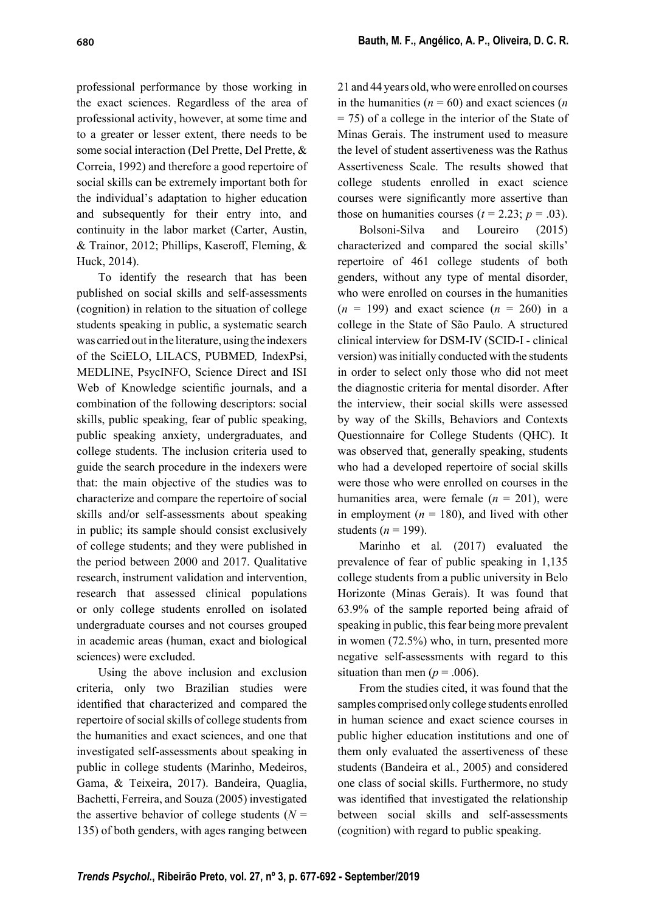professional performance by those working in the exact sciences. Regardless of the area of professional activity, however, at some time and to a greater or lesser extent, there needs to be some social interaction (Del Prette, Del Prette, & Correia, 1992) and therefore a good repertoire of social skills can be extremely important both for the individual's adaptation to higher education and subsequently for their entry into, and continuity in the labor market (Carter, Austin, & Trainor, 2012; Phillips, Kaseroff, Fleming, & Huck, 2014).

To identify the research that has been published on social skills and self-assessments (cognition) in relation to the situation of college students speaking in public, a systematic search was carried out in the literature, using the indexers of the SciELO, LILACS, PUBMED*,* IndexPsi, MEDLINE, PsycINFO, Science Direct and ISI Web of Knowledge scientific journals, and a combination of the following descriptors: social skills, public speaking, fear of public speaking, public speaking anxiety, undergraduates, and college students. The inclusion criteria used to guide the search procedure in the indexers were that: the main objective of the studies was to characterize and compare the repertoire of social skills and/or self-assessments about speaking in public; its sample should consist exclusively of college students; and they were published in the period between 2000 and 2017. Qualitative research, instrument validation and intervention, research that assessed clinical populations or only college students enrolled on isolated undergraduate courses and not courses grouped in academic areas (human, exact and biological sciences) were excluded.

Using the above inclusion and exclusion criteria, only two Brazilian studies were identified that characterized and compared the repertoire of social skills of college students from the humanities and exact sciences, and one that investigated self-assessments about speaking in public in college students (Marinho, Medeiros, Gama, & Teixeira, 2017). Bandeira, Quaglia, Bachetti, Ferreira, and Souza (2005) investigated the assertive behavior of college students  $(N =$ 135) of both genders, with ages ranging between

21 and 44 years old, who were enrolled on courses in the humanities  $(n = 60)$  and exact sciences  $(n \cdot n)$  $= 75$ ) of a college in the interior of the State of Minas Gerais. The instrument used to measure the level of student assertiveness was the Rathus Assertiveness Scale. The results showed that college students enrolled in exact science courses were significantly more assertive than those on humanities courses ( $t = 2.23$ ;  $p = .03$ ).

Bolsoni-Silva and Loureiro (2015) characterized and compared the social skills' repertoire of 461 college students of both genders, without any type of mental disorder, who were enrolled on courses in the humanities  $(n = 199)$  and exact science  $(n = 260)$  in a college in the State of São Paulo. A structured clinical interview for DSM-IV (SCID-I - clinical version) was initially conducted with the students in order to select only those who did not meet the diagnostic criteria for mental disorder. After the interview, their social skills were assessed by way of the Skills, Behaviors and Contexts Questionnaire for College Students (QHC). It was observed that, generally speaking, students who had a developed repertoire of social skills were those who were enrolled on courses in the humanities area, were female  $(n = 201)$ , were in employment ( $n = 180$ ), and lived with other students ( $n = 199$ ).

Marinho et al*.* (2017) evaluated the prevalence of fear of public speaking in 1,135 college students from a public university in Belo Horizonte (Minas Gerais). It was found that 63.9% of the sample reported being afraid of speaking in public, this fear being more prevalent in women (72.5%) who, in turn, presented more negative self-assessments with regard to this situation than men ( $p = .006$ ).

From the studies cited, it was found that the samples comprised only college students enrolled in human science and exact science courses in public higher education institutions and one of them only evaluated the assertiveness of these students (Bandeira et al*.*, 2005) and considered one class of social skills. Furthermore, no study was identified that investigated the relationship between social skills and self-assessments (cognition) with regard to public speaking.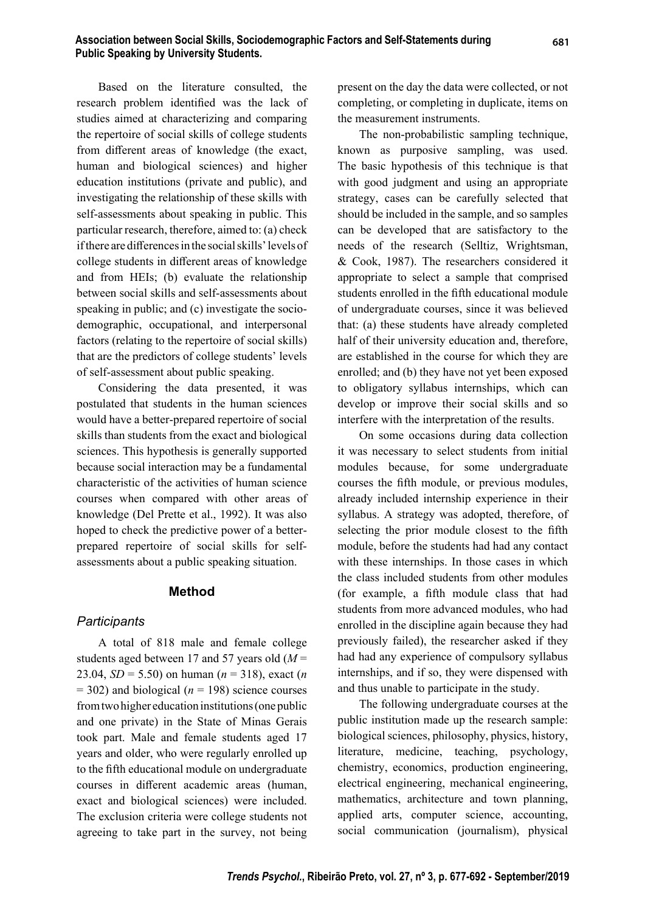Based on the literature consulted, the research problem identified was the lack of studies aimed at characterizing and comparing the repertoire of social skills of college students from different areas of knowledge (the exact, human and biological sciences) and higher education institutions (private and public), and investigating the relationship of these skills with self-assessments about speaking in public. This particular research, therefore, aimed to: (a) check if there are differences in the social skills' levels of college students in different areas of knowledge and from HEIs; (b) evaluate the relationship between social skills and self-assessments about speaking in public; and (c) investigate the sociodemographic, occupational, and interpersonal factors (relating to the repertoire of social skills) that are the predictors of college students' levels of self-assessment about public speaking.

Considering the data presented, it was postulated that students in the human sciences would have a better-prepared repertoire of social skills than students from the exact and biological sciences. This hypothesis is generally supported because social interaction may be a fundamental characteristic of the activities of human science courses when compared with other areas of knowledge (Del Prette et al., 1992). It was also hoped to check the predictive power of a betterprepared repertoire of social skills for selfassessments about a public speaking situation.

## **Method**

## *Participants*

A total of 818 male and female college students aged between 17 and 57 years old (*M* = 23.04, *SD* = 5.50) on human (*n* = 318), exact (*n* = 302) and biological (*n* = 198) science courses from two higher education institutions (one public and one private) in the State of Minas Gerais took part. Male and female students aged 17 years and older, who were regularly enrolled up to the fifth educational module on undergraduate courses in different academic areas (human, exact and biological sciences) were included. The exclusion criteria were college students not agreeing to take part in the survey, not being

present on the day the data were collected, or not completing, or completing in duplicate, items on the measurement instruments.

The non-probabilistic sampling technique, known as purposive sampling, was used. The basic hypothesis of this technique is that with good judgment and using an appropriate strategy, cases can be carefully selected that should be included in the sample, and so samples can be developed that are satisfactory to the needs of the research (Selltiz, Wrightsman, & Cook, 1987). The researchers considered it appropriate to select a sample that comprised students enrolled in the fifth educational module of undergraduate courses, since it was believed that: (a) these students have already completed half of their university education and, therefore, are established in the course for which they are enrolled; and (b) they have not yet been exposed to obligatory syllabus internships, which can develop or improve their social skills and so interfere with the interpretation of the results.

On some occasions during data collection it was necessary to select students from initial modules because, for some undergraduate courses the fifth module, or previous modules, already included internship experience in their syllabus. A strategy was adopted, therefore, of selecting the prior module closest to the fifth module, before the students had had any contact with these internships. In those cases in which the class included students from other modules (for example, a fifth module class that had students from more advanced modules, who had enrolled in the discipline again because they had previously failed), the researcher asked if they had had any experience of compulsory syllabus internships, and if so, they were dispensed with and thus unable to participate in the study.

The following undergraduate courses at the public institution made up the research sample: biological sciences, philosophy, physics, history, literature, medicine, teaching, psychology, chemistry, economics, production engineering, electrical engineering, mechanical engineering, mathematics, architecture and town planning, applied arts, computer science, accounting, social communication (journalism), physical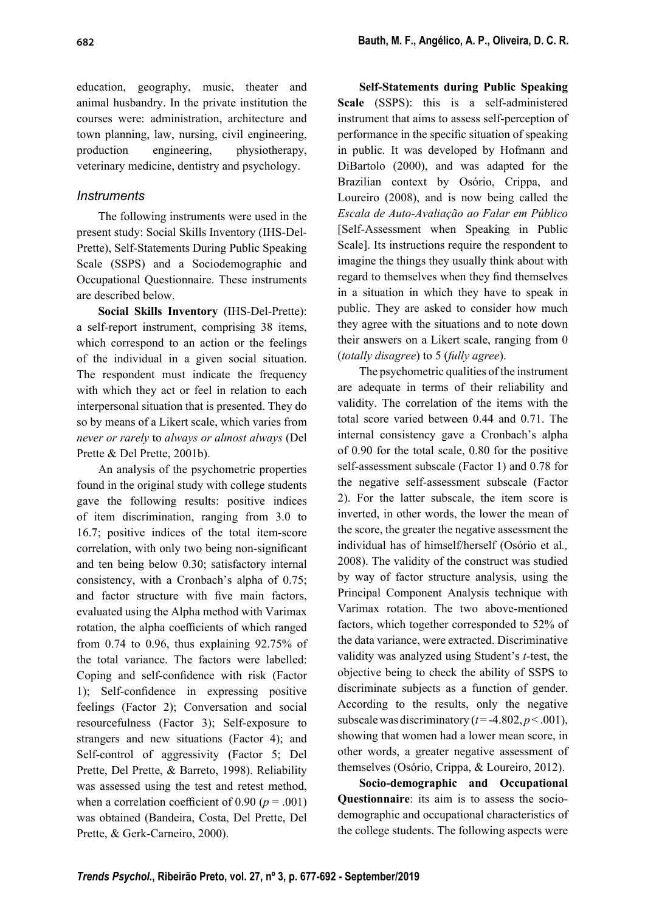education, geography, music, theater and animal husbandry. In the private institution the courses were: administration, architecture and town planning, law, nursing, civil engineering, production engineering, physiotherapy, veterinary medicine, dentistry and psychology.

# *Instruments*

The following instruments were used in the present study: Social Skills Inventory (IHS-Del-Prette), Self-Statements During Public Speaking Scale (SSPS) and a Sociodemographic and Occupational Questionnaire. These instruments are described below.

**Social Skills Inventory** (IHS-Del-Prette): a self-report instrument, comprising 38 items, which correspond to an action or the feelings of the individual in a given social situation. The respondent must indicate the frequency with which they act or feel in relation to each interpersonal situation that is presented. They do so by means of a Likert scale, which varies from *never or rarely* to *always or almost always* (Del Prette & Del Prette, 2001b).

An analysis of the psychometric properties found in the original study with college students gave the following results: positive indices of item discrimination, ranging from 3.0 to 16.7; positive indices of the total item-score correlation, with only two being non-significant and ten being below 0.30; satisfactory internal consistency, with a Cronbach's alpha of 0.75; and factor structure with five main factors, evaluated using the Alpha method with Varimax rotation, the alpha coefficients of which ranged from 0.74 to 0.96, thus explaining 92.75% of the total variance. The factors were labelled: Coping and self-confidence with risk (Factor 1); Self-confidence in expressing positive feelings (Factor 2); Conversation and social resourcefulness (Factor 3); Self-exposure to strangers and new situations (Factor 4); and Self-control of aggressivity (Factor 5; Del Prette, Del Prette, & Barreto, 1998). Reliability was assessed using the test and retest method, when a correlation coefficient of  $0.90 (p = .001)$ was obtained (Bandeira, Costa, Del Prette, Del Prette, & Gerk-Carneiro, 2000).

**Self-Statements during Public Speaking Scale** (SSPS): this is a self-administered instrument that aims to assess self-perception of performance in the specific situation of speaking in public. It was developed by Hofmann and DiBartolo (2000), and was adapted for the Brazilian context by Osório, Crippa, and Loureiro (2008), and is now being called the *Escala de Auto-Avaliação ao Falar em Público*  [Self-Assessment when Speaking in Public Scale]. Its instructions require the respondent to imagine the things they usually think about with regard to themselves when they find themselves in a situation in which they have to speak in public. They are asked to consider how much they agree with the situations and to note down their answers on a Likert scale, ranging from 0 (*totally disagree*) to 5 (*fully agree*).

The psychometric qualities of the instrument are adequate in terms of their reliability and validity. The correlation of the items with the total score varied between 0.44 and 0.71. The internal consistency gave a Cronbach's alpha of 0.90 for the total scale, 0.80 for the positive self-assessment subscale (Factor 1) and 0.78 for the negative self-assessment subscale (Factor 2). For the latter subscale, the item score is inverted, in other words, the lower the mean of the score, the greater the negative assessment the individual has of himself/herself (Osório et al*.,* 2008). The validity of the construct was studied by way of factor structure analysis, using the Principal Component Analysis technique with Varimax rotation. The two above-mentioned factors, which together corresponded to 52% of the data variance, were extracted. Discriminative validity was analyzed using Student's *t*-test, the objective being to check the ability of SSPS to discriminate subjects as a function of gender. According to the results, only the negative subscale was discriminatory  $(t = -4.802, p < .001)$ , showing that women had a lower mean score, in other words, a greater negative assessment of themselves (Osório, Crippa, & Loureiro, 2012).

**Socio-demographic and Occupational Questionnaire**: its aim is to assess the sociodemographic and occupational characteristics of the college students. The following aspects were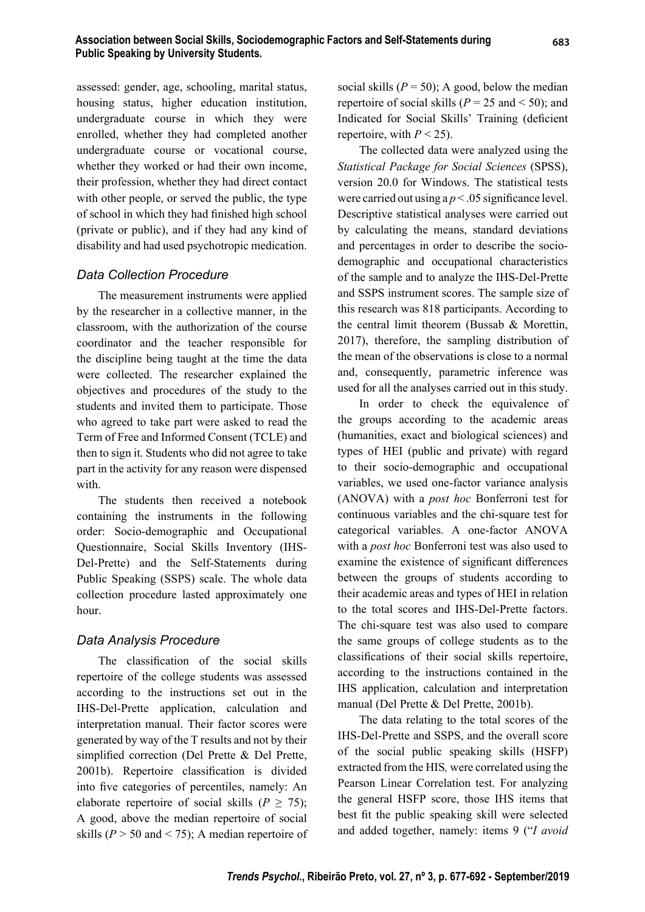assessed: gender, age, schooling, marital status, housing status, higher education institution, undergraduate course in which they were enrolled, whether they had completed another undergraduate course or vocational course, whether they worked or had their own income, their profession, whether they had direct contact with other people, or served the public, the type of school in which they had finished high school (private or public), and if they had any kind of disability and had used psychotropic medication.

## *Data Collection Procedure*

The measurement instruments were applied by the researcher in a collective manner, in the classroom, with the authorization of the course coordinator and the teacher responsible for the discipline being taught at the time the data were collected. The researcher explained the objectives and procedures of the study to the students and invited them to participate. Those who agreed to take part were asked to read the Term of Free and Informed Consent (TCLE) and then to sign it. Students who did not agree to take part in the activity for any reason were dispensed with.

The students then received a notebook containing the instruments in the following order: Socio-demographic and Occupational Questionnaire, Social Skills Inventory (IHS-Del-Prette) and the Self-Statements during Public Speaking (SSPS) scale. The whole data collection procedure lasted approximately one hour.

# *Data Analysis Procedure*

The classification of the social skills repertoire of the college students was assessed according to the instructions set out in the IHS-Del-Prette application, calculation and interpretation manual. Their factor scores were generated by way of the T results and not by their simplified correction (Del Prette & Del Prette, 2001b). Repertoire classification is divided into five categories of percentiles, namely: An elaborate repertoire of social skills ( $P \ge 75$ ); A good, above the median repertoire of social skills (*P* > 50 and < 75); A median repertoire of social skills  $(P = 50)$ ; A good, below the median repertoire of social skills ( $P = 25$  and  $\lt 50$ ); and Indicated for Social Skills' Training (deficient repertoire, with  $P < 25$ ).

The collected data were analyzed using the *Statistical Package for Social Sciences* (SPSS), version 20.0 for Windows. The statistical tests were carried out using  $a p < 0.05$  significance level. Descriptive statistical analyses were carried out by calculating the means, standard deviations and percentages in order to describe the sociodemographic and occupational characteristics of the sample and to analyze the IHS-Del-Prette and SSPS instrument scores. The sample size of this research was 818 participants. According to the central limit theorem (Bussab & Morettin, 2017), therefore, the sampling distribution of the mean of the observations is close to a normal and, consequently, parametric inference was used for all the analyses carried out in this study.

In order to check the equivalence of the groups according to the academic areas (humanities, exact and biological sciences) and types of HEI (public and private) with regard to their socio-demographic and occupational variables, we used one-factor variance analysis (ANOVA) with a *post hoc* Bonferroni test for continuous variables and the chi-square test for categorical variables. A one-factor ANOVA with a *post hoc* Bonferroni test was also used to examine the existence of significant differences between the groups of students according to their academic areas and types of HEI in relation to the total scores and IHS-Del-Prette factors. The chi-square test was also used to compare the same groups of college students as to the classifications of their social skills repertoire, according to the instructions contained in the IHS application, calculation and interpretation manual (Del Prette & Del Prette, 2001b).

The data relating to the total scores of the IHS-Del-Prette and SSPS, and the overall score of the social public speaking skills (HSFP) extracted from the HIS*,* were correlated using the Pearson Linear Correlation test. For analyzing the general HSFP score, those IHS items that best fit the public speaking skill were selected and added together, namely: items 9 ("*I avoid*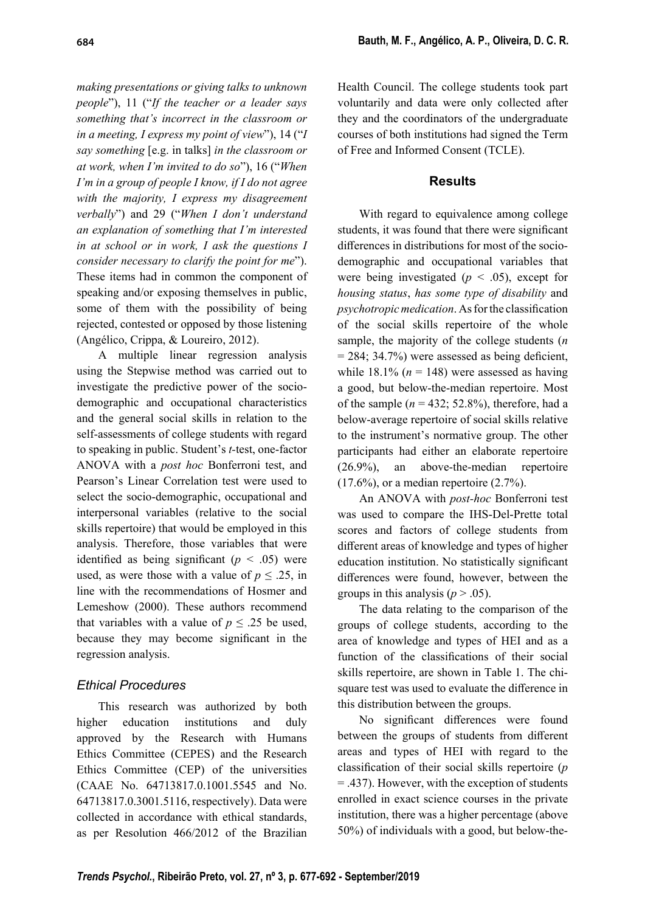*making presentations or giving talks to unknown people*"), 11 ("*If the teacher or a leader says something that's incorrect in the classroom or in a meeting, I express my point of view*"), 14 ("*I say something* [e.g. in talks] *in the classroom or at work, when I'm invited to do so*"), 16 ("*When I'm in a group of people I know, if I do not agree with the majority, I express my disagreement verbally*") and 29 ("*When I don't understand an explanation of something that I'm interested in at school or in work, I ask the questions I consider necessary to clarify the point for me*"). These items had in common the component of speaking and/or exposing themselves in public, some of them with the possibility of being rejected, contested or opposed by those listening (Angélico, Crippa, & Loureiro, 2012).

A multiple linear regression analysis using the Stepwise method was carried out to investigate the predictive power of the sociodemographic and occupational characteristics and the general social skills in relation to the self-assessments of college students with regard to speaking in public. Student's *t-*test, one-factor ANOVA with a *post hoc* Bonferroni test, and Pearson's Linear Correlation test were used to select the socio-demographic, occupational and interpersonal variables (relative to the social skills repertoire) that would be employed in this analysis. Therefore, those variables that were identified as being significant  $(p < .05)$  were used, as were those with a value of  $p \leq 0.25$ , in line with the recommendations of Hosmer and Lemeshow (2000). These authors recommend that variables with a value of  $p \leq 0.25$  be used, because they may become significant in the regression analysis.

# *Ethical Procedures*

This research was authorized by both higher education institutions and duly approved by the Research with Humans Ethics Committee (CEPES) and the Research Ethics Committee (CEP) of the universities (CAAE No. 64713817.0.1001.5545 and No. 64713817.0.3001.5116, respectively). Data were collected in accordance with ethical standards, as per Resolution 466/2012 of the Brazilian

Health Council. The college students took part voluntarily and data were only collected after they and the coordinators of the undergraduate courses of both institutions had signed the Term of Free and Informed Consent (TCLE).

# **Results**

With regard to equivalence among college students, it was found that there were significant differences in distributions for most of the sociodemographic and occupational variables that were being investigated  $(p < .05)$ , except for *housing status*, *has some type of disability* and *psychotropic medication*. As for the classification of the social skills repertoire of the whole sample, the majority of the college students (*n*  $= 284$ ; 34.7%) were assessed as being deficient, while  $18.1\%$  ( $n = 148$ ) were assessed as having a good, but below-the-median repertoire. Most of the sample  $(n = 432; 52.8\%)$ , therefore, had a below-average repertoire of social skills relative to the instrument's normative group. The other participants had either an elaborate repertoire (26.9%), an above-the-median repertoire  $(17.6\%)$ , or a median repertoire  $(2.7\%)$ .

An ANOVA with *post-hoc* Bonferroni test was used to compare the IHS-Del-Prette total scores and factors of college students from different areas of knowledge and types of higher education institution. No statistically significant differences were found, however, between the groups in this analysis ( $p > .05$ ).

The data relating to the comparison of the groups of college students, according to the area of knowledge and types of HEI and as a function of the classifications of their social skills repertoire, are shown in Table 1. The chisquare test was used to evaluate the difference in this distribution between the groups.

No significant differences were found between the groups of students from different areas and types of HEI with regard to the classifi cation of their social skills repertoire (*p* = .437). However, with the exception of students enrolled in exact science courses in the private institution, there was a higher percentage (above 50%) of individuals with a good, but below-the-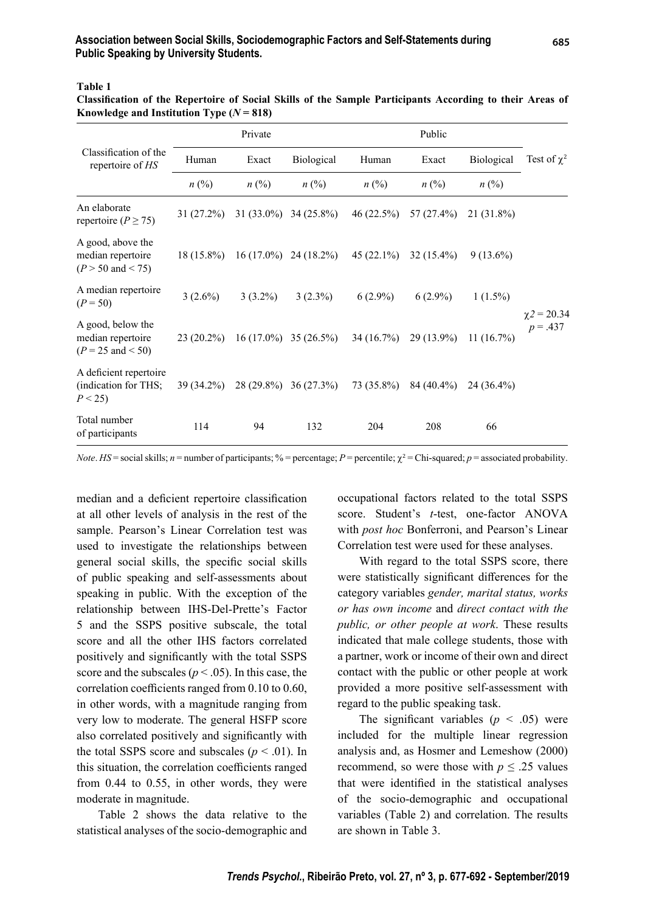#### **Table 1**

| Classification of the Repertoire of Social Skills of the Sample Participants According to their Areas of |  |  |  |  |
|----------------------------------------------------------------------------------------------------------|--|--|--|--|
| Knowledge and Institution Type $(N = 818)$                                                               |  |  |  |  |

|                                                                        | Private                     |              |                         | Public       |               |              |                                |
|------------------------------------------------------------------------|-----------------------------|--------------|-------------------------|--------------|---------------|--------------|--------------------------------|
| Classification of the<br>repertoire of HS                              | Human                       | Exact        | Biological              | Human        | Exact         | Biological   | Test of $\chi^2$               |
|                                                                        | $n\left(\frac{0}{0}\right)$ | $n\ (\%)$    | $n\ (\%)$               | $n\ (\%)$    | $n\ (\%)$     | $n\ (\%)$    |                                |
| An elaborate<br>repertoire ( $P \ge 75$ )                              | $31(27.2\%)$                |              | $31(33.0\%)$ 34 (25.8%) | 46(22.5%)    | 57 $(27.4\%)$ | 21 (31.8%)   |                                |
| A good, above the<br>median repertoire<br>$(P > 50 \text{ and } < 75)$ | $18(15.8\%)$                | $16(17.0\%)$ | $24(18.2\%)$            | $45(22.1\%)$ | $32(15.4\%)$  | $9(13.6\%)$  |                                |
| A median repertoire<br>$(P = 50)$                                      | $3(2.6\%)$                  | $3(3.2\%)$   | $3(2.3\%)$              | $6(2.9\%)$   | $6(2.9\%)$    | $1(1.5\%)$   |                                |
| A good, below the<br>median repertoire<br>$(P = 25 \text{ and } < 50)$ | $23(20.2\%)$                |              | $16(17.0\%)$ 35 (26.5%) | 34 (16.7%)   | 29 (13.9%)    | 11(16.7%)    | $\chi$ 2 = 20.34<br>$p = .437$ |
| A deficient repertoire<br>(indication for THS;<br>$P < 25$ )           | 39 (34.2%)                  |              | 28 (29.8%) 36 (27.3%)   | 73 (35.8%)   | 84 (40.4%)    | $24(36.4\%)$ |                                |
| Total number<br>of participants                                        | 114                         | 94           | 132                     | 204          | 208           | 66           |                                |

*Note. HS* = social skills; *n* = number of participants; % = percentage; *P* = percentile;  $\chi^2$  = Chi-squared; *p* = associated probability.

median and a deficient repertoire classification at all other levels of analysis in the rest of the sample. Pearson's Linear Correlation test was used to investigate the relationships between general social skills, the specific social skills of public speaking and self-assessments about speaking in public. With the exception of the relationship between IHS-Del-Prette's Factor 5 and the SSPS positive subscale, the total score and all the other IHS factors correlated positively and significantly with the total SSPS score and the subscales ( $p < .05$ ). In this case, the correlation coefficients ranged from 0.10 to 0.60, in other words, with a magnitude ranging from very low to moderate. The general HSFP score also correlated positively and significantly with the total SSPS score and subscales  $(p < .01)$ . In this situation, the correlation coefficients ranged from 0.44 to 0.55, in other words, they were moderate in magnitude.

Table 2 shows the data relative to the statistical analyses of the socio-demographic and occupational factors related to the total SSPS score. Student's *t*-test, one-factor ANOVA with *post hoc* Bonferroni, and Pearson's Linear Correlation test were used for these analyses.

With regard to the total SSPS score, there were statistically significant differences for the category variables *gender, marital status, works or has own income* and *direct contact with the public, or other people at work*. These results indicated that male college students, those with a partner, work or income of their own and direct contact with the public or other people at work provided a more positive self-assessment with regard to the public speaking task.

The significant variables  $(p \lt 0.05)$  were included for the multiple linear regression analysis and, as Hosmer and Lemeshow (2000) recommend, so were those with  $p \leq 0.25$  values that were identified in the statistical analyses of the socio-demographic and occupational variables (Table 2) and correlation. The results are shown in Table 3.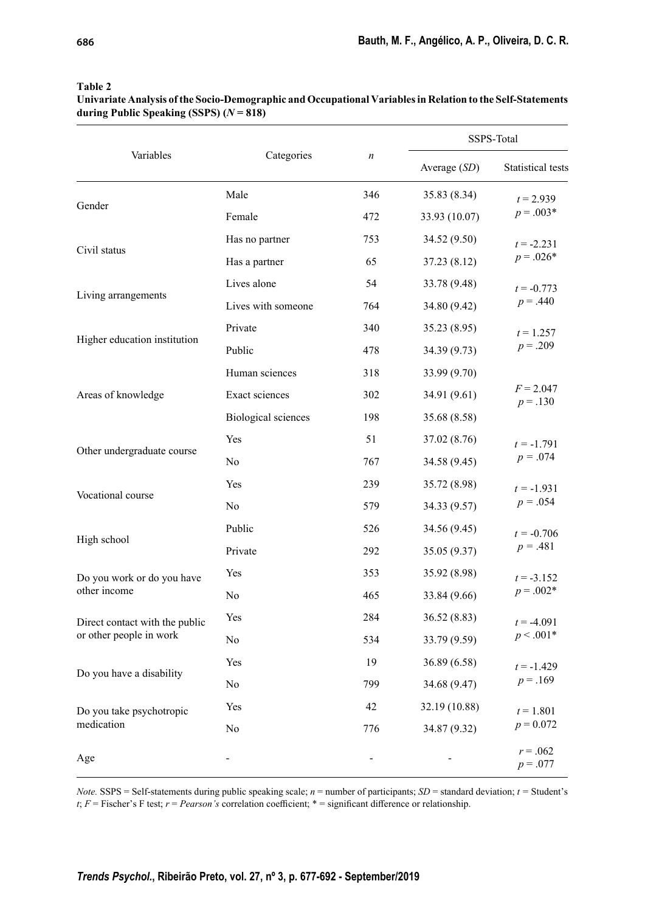|                                                           |                            |                  | SSPS-Total     |                             |  |
|-----------------------------------------------------------|----------------------------|------------------|----------------|-----------------------------|--|
| Variables                                                 | Categories                 | $\boldsymbol{n}$ | Average $(SD)$ | Statistical tests           |  |
|                                                           | Male                       | 346              | 35.83 (8.34)   | $t = 2.939$                 |  |
| Gender                                                    | Female                     | 472              | 33.93 (10.07)  | $p = .003*$                 |  |
| Civil status                                              | Has no partner             | 753              | 34.52 (9.50)   | $t = -2.231$                |  |
|                                                           | Has a partner              | 65               | 37.23 (8.12)   | $p = .026*$                 |  |
| Living arrangements                                       | Lives alone                | 54               | 33.78 (9.48)   | $t = -0.773$<br>$p = .440$  |  |
|                                                           | Lives with someone         | 764              | 34.80 (9.42)   |                             |  |
| Higher education institution                              | Private                    | 340              | 35.23 (8.95)   | $t = 1.257$                 |  |
|                                                           | Public                     | 478              | 34.39 (9.73)   | $p = .209$                  |  |
|                                                           | Human sciences             | 318              | 33.99 (9.70)   |                             |  |
| Areas of knowledge                                        | Exact sciences             | 302              | 34.91 (9.61)   | $F = 2.047$<br>$p = .130$   |  |
|                                                           | <b>Biological sciences</b> | 198              | 35.68 (8.58)   |                             |  |
| Other undergraduate course                                | Yes                        | 51               | 37.02 (8.76)   | $t = -1.791$                |  |
|                                                           | No                         | 767              | 34.58 (9.45)   | $p = .074$                  |  |
| Vocational course                                         | Yes                        | 239              | 35.72 (8.98)   | $t = -1.931$<br>$p = .054$  |  |
|                                                           | No                         | 579              | 34.33 (9.57)   |                             |  |
|                                                           | Public                     | 526              | 34.56 (9.45)   | $t = -0.706$                |  |
| High school                                               | Private                    | 292              | 35.05 (9.37)   | $p = .481$                  |  |
| Do you work or do you have<br>other income                | Yes                        | 353              | 35.92 (8.98)   | $t = -3.152$<br>$p = .002*$ |  |
|                                                           | No                         | 465              | 33.84 (9.66)   |                             |  |
| Direct contact with the public<br>or other people in work | Yes                        | 284              | 36.52 (8.83)   | $t = -4.091$<br>$p < .001*$ |  |
|                                                           | No                         | 534              | 33.79 (9.59)   |                             |  |
| Do you have a disability                                  | Yes                        | 19               | 36.89 (6.58)   | $t = -1.429$                |  |
|                                                           | No                         | 799              | 34.68 (9.47)   | $p = .169$                  |  |
| Do you take psychotropic<br>medication                    | Yes                        | 42               | 32.19 (10.88)  | $t = 1.801$                 |  |
|                                                           | No                         |                  | 34.87 (9.32)   | $p = 0.072$                 |  |
| Age                                                       |                            |                  |                | $r = .062$<br>$p = .077$    |  |

#### **Table 2**

**Univariate Analysis of the Socio-Demographic and Occupational Variables in Relation to the Self-Statements during Public Speaking (SSPS) (***N* **= 818)**

*Note.* SSPS = Self-statements during public speaking scale; *n* = number of participants; *SD* = standard deviation; *t =* Student's *t*;  $F$  = Fischer's F test;  $r$  = *Pearson's* correlation coefficient; \* = significant difference or relationship.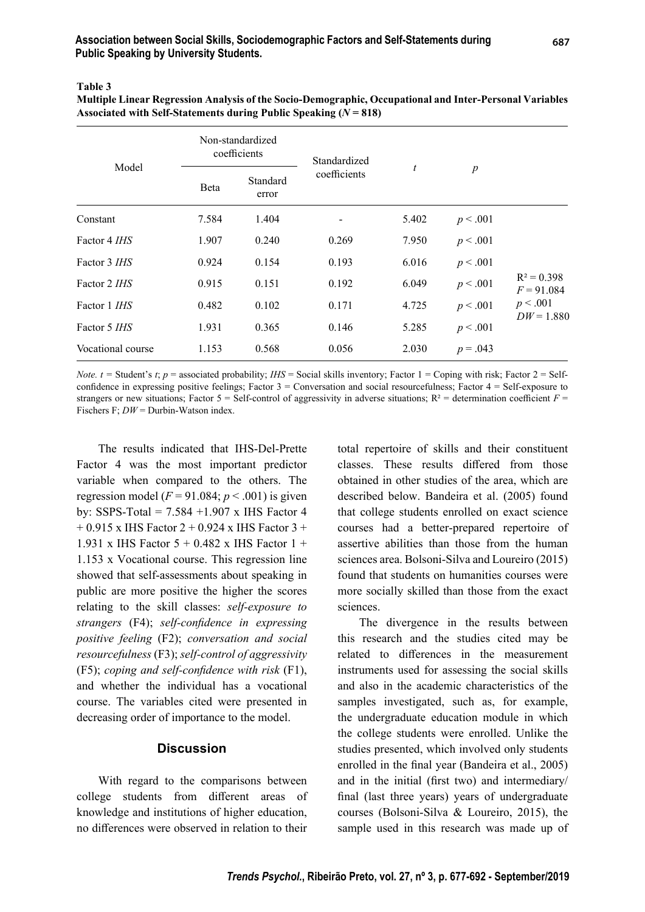**Table 3**

| Multiple Linear Regression Analysis of the Socio-Demographic, Occupational and Inter-Personal Variables |
|---------------------------------------------------------------------------------------------------------|
| Associated with Self-Statements during Public Speaking $(N = 818)$                                      |

| Model               | Non-standardized<br>coefficients |                   | Standardized |                  |                  |                               |
|---------------------|----------------------------------|-------------------|--------------|------------------|------------------|-------------------------------|
|                     | Beta                             | Standard<br>error | coefficients | $\boldsymbol{t}$ | $\boldsymbol{p}$ |                               |
| Constant            | 7.584                            | 1.404             |              | 5.402            | p < .001         |                               |
| Factor 4 <i>IHS</i> | 1.907                            | 0.240             | 0.269        | 7.950            | p < .001         |                               |
| Factor 3 <i>IHS</i> | 0.924                            | 0.154             | 0.193        | 6.016            | p < .001         |                               |
| Factor 2 <i>IHS</i> | 0.915                            | 0.151             | 0.192        | 6.049            | p < .001         | $R^2 = 0.398$<br>$F = 91.084$ |
| Factor 1 <i>IHS</i> | 0.482                            | 0.102             | 0.171        | 4.725            | p < .001         | p < .001<br>$DW = 1.880$      |
| Factor 5 IHS        | 1.931                            | 0.365             | 0.146        | 5.285            | p < .001         |                               |
| Vocational course   | 1.153                            | 0.568             | 0.056        | 2.030            | $p = .043$       |                               |

*Note. t* = Student's *t*; *p* = associated probability; *IHS* = Social skills inventory; Factor 1 = Coping with risk; Factor 2 = Selfconfidence in expressing positive feelings; Factor  $3 =$  Conversation and social resourcefulness; Factor  $4 =$  Self-exposure to strangers or new situations; Factor 5 = Self-control of aggressivity in adverse situations;  $R^2$  = determination coefficient  $F =$ Fischers F:  $DW =$  Durbin-Watson index.

The results indicated that IHS-Del-Prette Factor 4 was the most important predictor variable when compared to the others. The regression model ( $F = 91.084$ ;  $p < .001$ ) is given by: SSPS-Total =  $7.584 + 1.907$  x IHS Factor 4  $+ 0.915$  x IHS Factor 2  $+ 0.924$  x IHS Factor 3  $+$ 1.931 x IHS Factor  $5 + 0.482$  x IHS Factor  $1 +$ 1.153 x Vocational course. This regression line showed that self-assessments about speaking in public are more positive the higher the scores relating to the skill classes: *self-exposure to strangers* (F4); *self-confidence in expressing positive feeling* (F2); *conversation and social resourcefulness* (F3); *self-control of aggressivity*  $(F5)$ ; *coping and self-confidence with risk*  $(F1)$ , and whether the individual has a vocational course. The variables cited were presented in decreasing order of importance to the model.

## **Discussion**

With regard to the comparisons between college students from different areas of knowledge and institutions of higher education, no differences were observed in relation to their total repertoire of skills and their constituent classes. These results differed from those obtained in other studies of the area, which are described below. Bandeira et al. (2005) found that college students enrolled on exact science courses had a better-prepared repertoire of assertive abilities than those from the human sciences area. Bolsoni-Silva and Loureiro (2015) found that students on humanities courses were more socially skilled than those from the exact sciences.

The divergence in the results between this research and the studies cited may be related to differences in the measurement instruments used for assessing the social skills and also in the academic characteristics of the samples investigated, such as, for example, the undergraduate education module in which the college students were enrolled. Unlike the studies presented, which involved only students enrolled in the final year (Bandeira et al., 2005) and in the initial (first two) and intermediary/ final (last three years) years of undergraduate courses (Bolsoni-Silva & Loureiro, 2015), the sample used in this research was made up of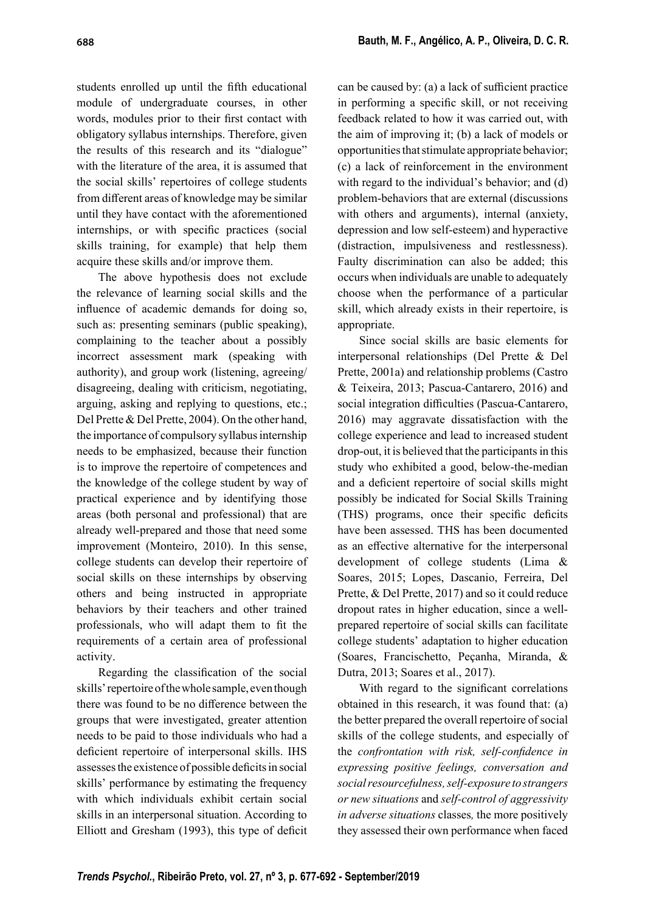students enrolled up until the fifth educational module of undergraduate courses, in other words, modules prior to their first contact with obligatory syllabus internships. Therefore, given the results of this research and its "dialogue" with the literature of the area, it is assumed that the social skills' repertoires of college students from different areas of knowledge may be similar until they have contact with the aforementioned internships, or with specific practices (social skills training, for example) that help them acquire these skills and/or improve them.

The above hypothesis does not exclude the relevance of learning social skills and the influence of academic demands for doing so, such as: presenting seminars (public speaking), complaining to the teacher about a possibly incorrect assessment mark (speaking with authority), and group work (listening, agreeing/ disagreeing, dealing with criticism, negotiating, arguing, asking and replying to questions, etc.; Del Prette & Del Prette, 2004). On the other hand, the importance of compulsory syllabus internship needs to be emphasized, because their function is to improve the repertoire of competences and the knowledge of the college student by way of practical experience and by identifying those areas (both personal and professional) that are already well-prepared and those that need some improvement (Monteiro, 2010). In this sense, college students can develop their repertoire of social skills on these internships by observing others and being instructed in appropriate behaviors by their teachers and other trained professionals, who will adapt them to fit the requirements of a certain area of professional activity.

Regarding the classification of the social skills' repertoire of the whole sample, even though there was found to be no difference between the groups that were investigated, greater attention needs to be paid to those individuals who had a deficient repertoire of interpersonal skills. IHS assesses the existence of possible deficits in social skills' performance by estimating the frequency with which individuals exhibit certain social skills in an interpersonal situation. According to Elliott and Gresham (1993), this type of deficit can be caused by: (a) a lack of sufficient practice in performing a specific skill, or not receiving feedback related to how it was carried out, with the aim of improving it; (b) a lack of models or opportunities that stimulate appropriate behavior; (c) a lack of reinforcement in the environment with regard to the individual's behavior; and (d) problem-behaviors that are external (discussions with others and arguments), internal (anxiety, depression and low self-esteem) and hyperactive (distraction, impulsiveness and restlessness). Faulty discrimination can also be added; this occurs when individuals are unable to adequately choose when the performance of a particular skill, which already exists in their repertoire, is appropriate.

Since social skills are basic elements for interpersonal relationships (Del Prette & Del Prette, 2001a) and relationship problems (Castro & Teixeira, 2013; Pascua-Cantarero, 2016) and social integration difficulties (Pascua-Cantarero, 2016) may aggravate dissatisfaction with the college experience and lead to increased student drop-out, it is believed that the participants in this study who exhibited a good, below-the-median and a deficient repertoire of social skills might possibly be indicated for Social Skills Training (THS) programs, once their specific deficits have been assessed. THS has been documented as an effective alternative for the interpersonal development of college students (Lima & Soares, 2015; Lopes, Dascanio, Ferreira, Del Prette, & Del Prette, 2017) and so it could reduce dropout rates in higher education, since a wellprepared repertoire of social skills can facilitate college students' adaptation to higher education (Soares, Francischetto, Peçanha, Miranda, & Dutra, 2013; Soares et al., 2017).

With regard to the significant correlations obtained in this research, it was found that: (a) the better prepared the overall repertoire of social skills of the college students, and especially of the *confrontation with risk*, self-confidence in *expressing positive feelings, conversation and social resourcefulness, self-exposure to strangers or new situations* and *self-control of aggressivity in adverse situations* classes*,* the more positively they assessed their own performance when faced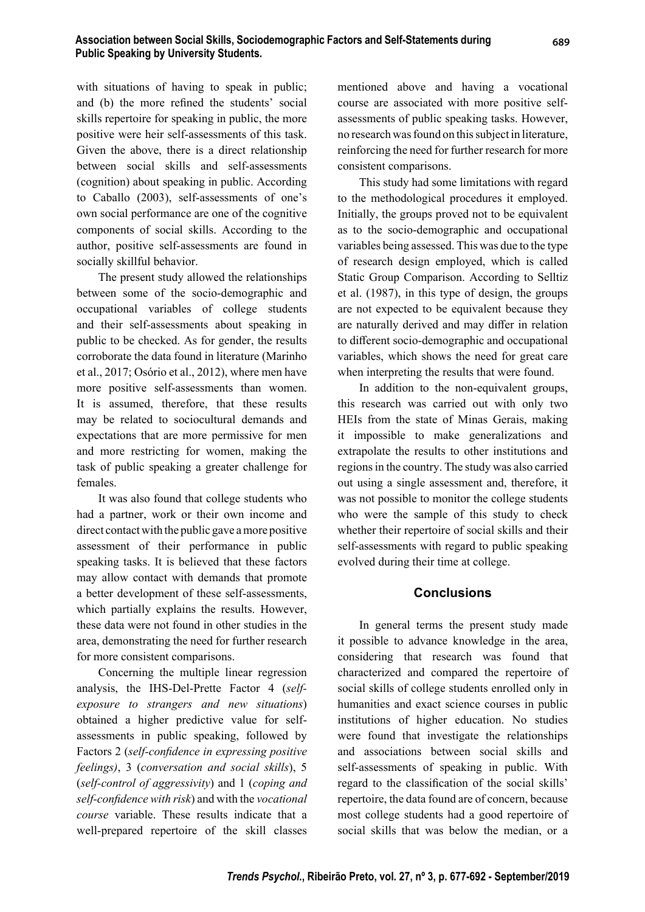with situations of having to speak in public; and (b) the more refined the students' social skills repertoire for speaking in public, the more positive were heir self-assessments of this task. Given the above, there is a direct relationship between social skills and self-assessments (cognition) about speaking in public. According to Caballo (2003), self-assessments of one's own social performance are one of the cognitive components of social skills. According to the author, positive self-assessments are found in socially skillful behavior.

The present study allowed the relationships between some of the socio-demographic and occupational variables of college students and their self-assessments about speaking in public to be checked. As for gender, the results corroborate the data found in literature (Marinho et al., 2017; Osório et al., 2012), where men have more positive self-assessments than women. It is assumed, therefore, that these results may be related to sociocultural demands and expectations that are more permissive for men and more restricting for women, making the task of public speaking a greater challenge for females.

It was also found that college students who had a partner, work or their own income and direct contact with the public gave a more positive assessment of their performance in public speaking tasks. It is believed that these factors may allow contact with demands that promote a better development of these self-assessments, which partially explains the results. However, these data were not found in other studies in the area, demonstrating the need for further research for more consistent comparisons.

Concerning the multiple linear regression analysis, the IHS-Del-Prette Factor 4 (*selfexposure to strangers and new situations*) obtained a higher predictive value for selfassessments in public speaking, followed by Factors 2 (self-confidence in expressing positive *feelings)*, 3 (*conversation and social skills*), 5 (*self-control of aggressivity*) and 1 (*coping and self-confi dence with risk*) and with the *vocational course* variable. These results indicate that a well-prepared repertoire of the skill classes

mentioned above and having a vocational course are associated with more positive selfassessments of public speaking tasks. However, no research was found on this subject in literature, reinforcing the need for further research for more consistent comparisons.

This study had some limitations with regard to the methodological procedures it employed. Initially, the groups proved not to be equivalent as to the socio-demographic and occupational variables being assessed. This was due to the type of research design employed, which is called Static Group Comparison. According to Selltiz et al. (1987), in this type of design, the groups are not expected to be equivalent because they are naturally derived and may differ in relation to different socio-demographic and occupational variables, which shows the need for great care when interpreting the results that were found.

In addition to the non-equivalent groups, this research was carried out with only two HEIs from the state of Minas Gerais, making it impossible to make generalizations and extrapolate the results to other institutions and regions in the country. The study was also carried out using a single assessment and, therefore, it was not possible to monitor the college students who were the sample of this study to check whether their repertoire of social skills and their self-assessments with regard to public speaking evolved during their time at college.

## **Conclusions**

In general terms the present study made it possible to advance knowledge in the area, considering that research was found that characterized and compared the repertoire of social skills of college students enrolled only in humanities and exact science courses in public institutions of higher education. No studies were found that investigate the relationships and associations between social skills and self-assessments of speaking in public. With regard to the classification of the social skills' repertoire, the data found are of concern, because most college students had a good repertoire of social skills that was below the median, or a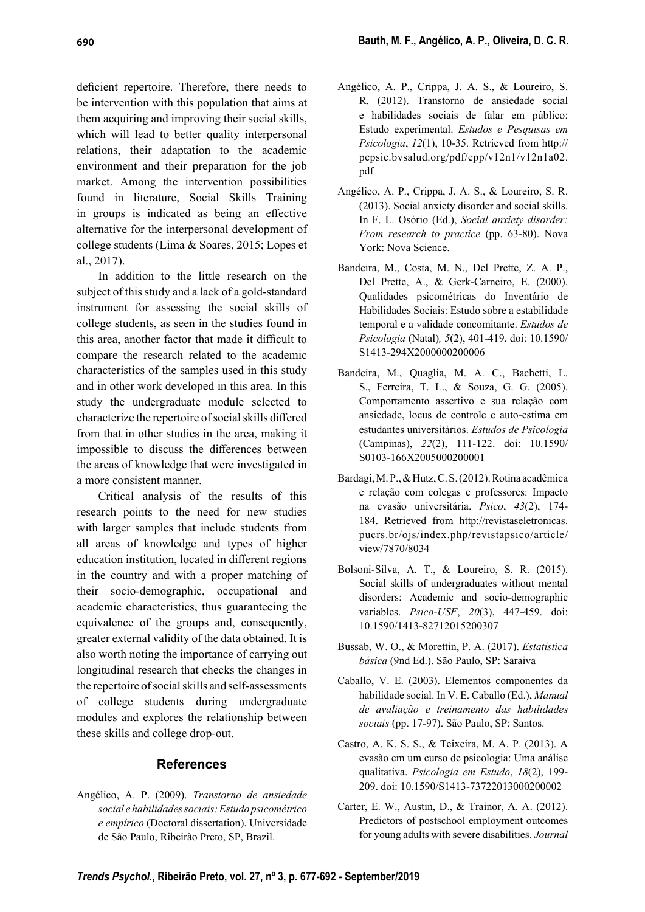deficient repertoire. Therefore, there needs to be intervention with this population that aims at them acquiring and improving their social skills, which will lead to better quality interpersonal relations, their adaptation to the academic environment and their preparation for the job market. Among the intervention possibilities found in literature, Social Skills Training in groups is indicated as being an effective alternative for the interpersonal development of college students (Lima & Soares, 2015; Lopes et al., 2017).

In addition to the little research on the subject of this study and a lack of a gold-standard instrument for assessing the social skills of college students, as seen in the studies found in this area, another factor that made it difficult to compare the research related to the academic characteristics of the samples used in this study and in other work developed in this area. In this study the undergraduate module selected to characterize the repertoire of social skills differed from that in other studies in the area, making it impossible to discuss the differences between the areas of knowledge that were investigated in a more consistent manner.

Critical analysis of the results of this research points to the need for new studies with larger samples that include students from all areas of knowledge and types of higher education institution, located in different regions in the country and with a proper matching of their socio-demographic, occupational and academic characteristics, thus guaranteeing the equivalence of the groups and, consequently, greater external validity of the data obtained. It is also worth noting the importance of carrying out longitudinal research that checks the changes in the repertoire of social skills and self-assessments of college students during undergraduate modules and explores the relationship between these skills and college drop-out.

## **Refer ences**

Angé lico, A. P. (2009). *Transtorno de ansiedade social e habilidades sociais: Estudo psicométrico e empírico* (Doctoral dissertation). Universidade de São Paulo, Ribeirão Preto, SP, Brazil.

- Angélico, A. P., Crippa, J. A. S., & Loureiro, S. R. (2012). Transtorno de ansiedade social e habilidades sociais de falar em público: Estudo experimental. *Estudos e Pesquisas em Psicologia*, *12*(1), 10-35. Retrieved from http:// pepsic.bvsalud.org/pdf/epp/v12n1/v12n1a02. pdf
- Angélico, A. P., Crippa, J. A. S., & Loureiro, S. R. (2013). Social anxiety disorder and social skills. In F. L. Osório (Ed.), *Social anxiety disorder: From research to practice* (pp. 63-80). Nova York: Nova Science.
- Bandeira, M., Costa, M. N., Del Prette, Z. A. P., Del Prette, A., & Gerk-Carneiro, E. (2000). Qualidades psicométricas do Inventário de Habilidades Sociais: Estudo sobre a estabilidade temporal e a validade concomitante. *Estudos de Psicologia* (Natal)*, 5*(2), 401-419. doi: 10.1590/ S1413-294X2000000200006
- Bandeira, M., Quaglia, M. A. C., Bachetti, L. S., Ferreira, T. L., & Souza, G. G. (2005). Comportamento assertivo e sua relação com ansiedade, locus de controle e auto-estima em estudantes universitários. *Estudos de Psicologia* (Campinas), *22*(2), 111-122. doi: 10.1590/ S0103-166X2005000200001
- Bardagi, M. P., & Hutz, C. S. (2012). Rotina acadêmica e relação com colegas e professores: Impacto na evasão universitária. *Psico*, *43*(2), 174- 184. Retrieved from http://revistaseletronicas. pucrs.br/ojs/index.php/revistapsico/article/ view/7870/8034
- Bolsoni-Silva, A. T., & Loureiro, S. R. (2015). Social skills of undergraduates without mental disorders: Academic and socio-demographic variables. *Psico-USF*, *20*(3), 447-459. doi: 10.1590/1413-82712015200307
- Bussab, W. O., & Morettin, P. A. (2017). *Estatística básica* (9nd Ed.). São Paulo, SP: Saraiva
- Caballo, V. E. (2003). Elementos componentes da habilidade social. In V. E. Caballo (Ed.), *Manual de avaliação e treinamento das habilidades sociais* (pp. 17-97). São Paulo, SP: Santos.
- Castro, A. K. S. S., & Teixeira, M. A. P. (2013). A evasão em um curso de psicologia: Uma análise qualitativa. *Psicologia em Estudo*, *18*(2), 199- 209. doi: 10.1590/S1413-73722013000200002
- Carter, E. W., Austin, D., & Trainor, A. A. (2012). Predictors of postschool employment outcomes for young adults with severe disabilities. *Journal*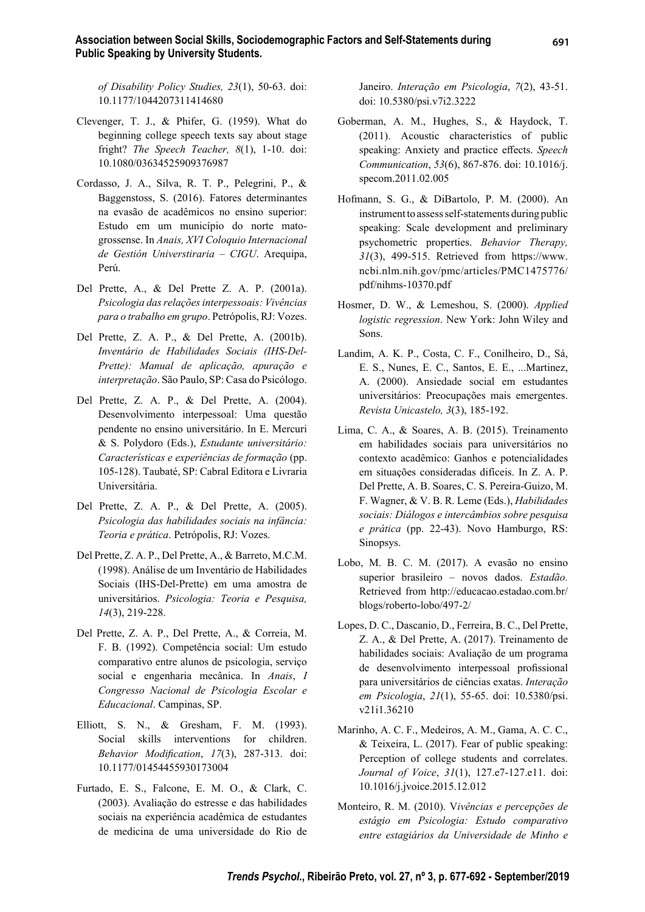*of Disability Policy Studies, 23*(1), 50-63. doi: 10.1177/1044207311414680

- Clevenger, T. J., & Phifer, G. (1959). What do beginning college speech texts say about stage fright? *The Speech Teacher, 8*(1), 1-10. doi: 10.1080/03634525909376987
- Cordasso, J. A., Silva, R. T. P., Pelegrini, P., & Baggenstoss, S. (2016). Fatores determinantes na evasão de acadêmicos no ensino superior: Estudo em um município do norte matogrossense. In *Anais, XVI Coloquio Internacional de Gestión Universtiraria – CIGU*. Arequipa, Perú.
- Del Prette, A., & Del Prette Z. A. P. (2001a). *Psicologia das relações interpessoais: Vivências para o trabalho em grupo*. Petrópolis, RJ: Vozes.
- Del Prette, Z. A. P., & Del Prette, A. (2001b). *Inventário de Habilidades Sociais (IHS-Del-Prette): Manual de aplicação, apuração e interpretação*. São Paulo, SP: Casa do Psicólogo.
- Del Prette, Z. A. P., & Del Prette, A. (2004). Desenvolvimento interpessoal: Uma questão pendente no ensino universitário. In E. Mercuri & S. Polydoro (Eds.), *Estudante universitário: Características e experiências de formação* (pp. 105-128). Taubaté, SP: Cabral Editora e Livraria Universitária.
- Del Prette, Z. A. P., & Del Prette, A. (2005). *Psicologia das habilidades sociais na infância: Teoria e prática*. Petrópolis, RJ: Vozes.
- Del Prette, Z. A. P., Del Prette, A., & Barreto, M.C.M. (1998). Análise de um Inventário de Habilidades Sociais (IHS-Del-Prette) em uma amostra de universitários. *Psicologia: Teoria e Pesquisa, 14*(3), 219-228.
- Del Prette, Z. A. P., Del Prette, A., & Correia, M. F. B. (1992). Competência social: Um estudo comparativo entre alunos de psicologia, serviço social e engenharia mecânica. In *Anais*, *I Congresso Nacional de Psicologia Escolar e Educacional*. Campinas, SP.
- Elliott, S. N., & Gresham, F. M. (1993). Social skills interventions for children. *Behavior Modifi cation*, *17*(3), 287-313. doi: 10.1177/01454455930173004
- Furtado, E. S., Falcone, E. M. O., & Clark, C. (2003). Avaliação do estresse e das habilidades sociais na experiência acadêmica de estudantes de medicina de uma universidade do Rio de

Janeiro. *Interação em Psicologia*, *7*(2), 43-51. doi: 10.5380/psi.v7i2.3222

- Goberman, A. M., Hughes, S., & Haydock, T. (2011). Acoustic characteristics of public speaking: Anxiety and practice effects. *Speech Communication*, *53*(6), 867-876. doi: 10.1016/j. specom.2011.02.005
- Hofmann, S. G., & DiBartolo, P. M. (2000). An instrument to assess self-statements during public speaking: Scale development and preliminary psychometric properties. *Behavior Therapy, 31*(3), 499-515. Retrieved from https://www. ncbi.nlm.nih.gov/pmc/articles/PMC1475776/ pdf/nihms-10370.pdf
- Hosmer, D. W., & Lemeshou, S. (2000). *Applied logistic regression*. New York: John Wiley and Sons.
- Landim, A. K. P., Costa, C. F., Conilheiro, D., Sá, E. S., Nunes, E. C., Santos, E. E., ...Martinez, A. (2000). Ansiedade social em estudantes universitários: Preocupações mais emergentes. *Revista Unicastelo, 3*(3), 185-192.
- Lima, C. A., & Soares, A. B. (2015). Treinamento em habilidades sociais para universitários no contexto acadêmico: Ganhos e potencialidades em situações consideradas difíceis. In Z. A. P. Del Prette, A. B. Soares, C. S. Pereira-Guizo, M. F. Wagner, & V. B. R. Leme (Eds.), *Habilidades sociais: Diálogos e intercâmbios sobre pesquisa e prática* (pp. 22-43). Novo Hamburgo, RS: Sinopsys.
- Lobo, M. B. C. M. (2017). A evasão no ensino superior brasileiro – novos dados. *Estadão.*  Retrieved from http://educacao.estadao.com.br/ blogs/roberto-lobo/497-2/
- Lopes, D. C., Dascanio, D., Ferreira, B. C., Del Prette, Z. A., & Del Prette, A. (2017). Treinamento de habilidades sociais: Avaliação de um programa de desenvolvimento interpessoal profissional para universitários de ciências exatas. *Interação em Psicologia*, *21*(1), 55-65. doi: 10.5380/psi. v21i1.36210
- Marinho, A. C. F., Medeiros, A. M., Gama, A. C. C., & Teixeira, L. (2017). Fear of public speaking: Perception of college students and correlates. *Journal of Voice*, *31*(1), 127.e7-127.e11. doi: 10.1016/j.jvoice.2015.12.012
- Monteiro, R. M. (2010). V*ivências e percepções de estágio em Psicologia: Estudo comparativo entre estagiários da Universidade de Minho e*